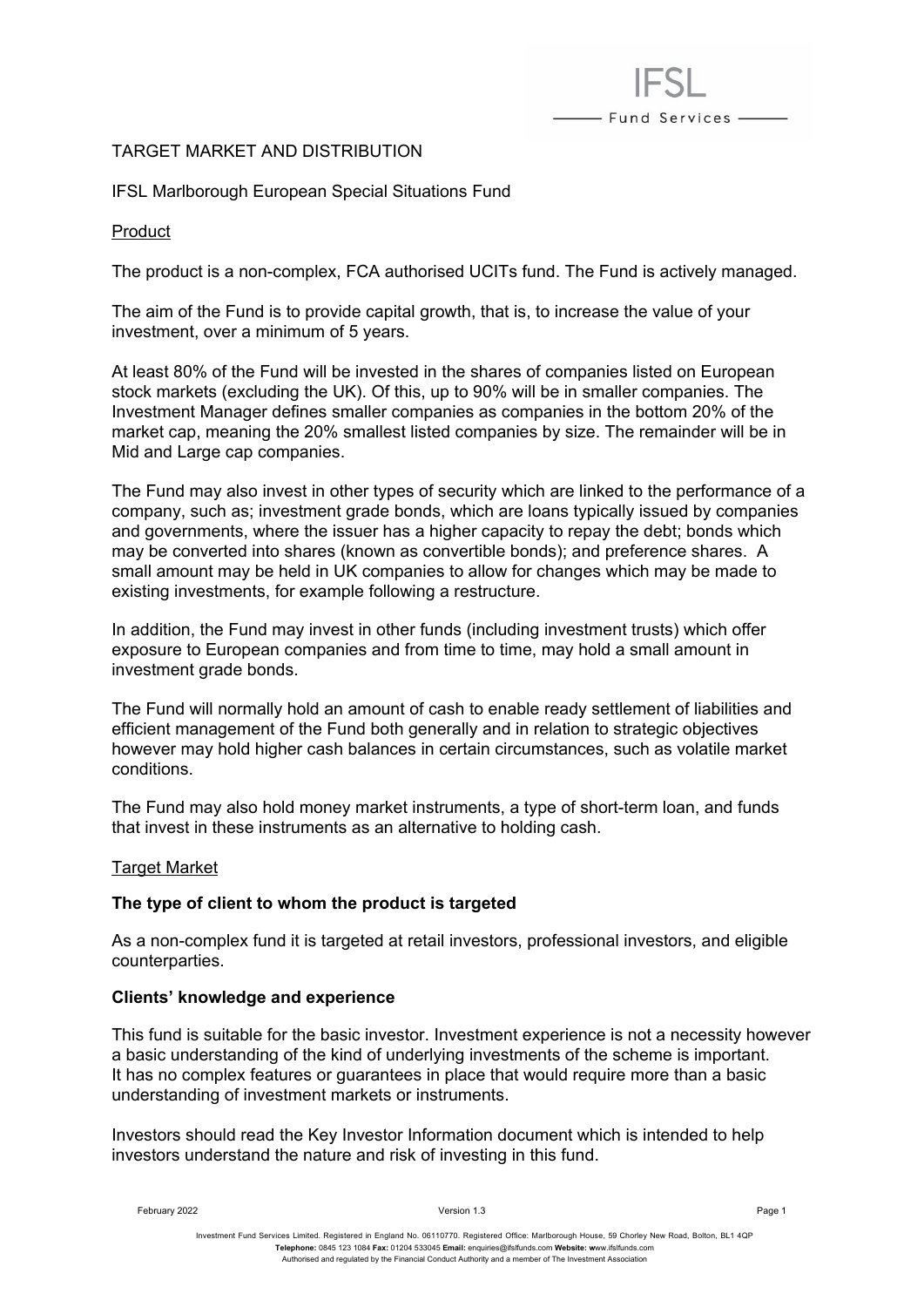

# TARGET MARKET AND DISTRIBUTION

IFSL Marlborough European Special Situations Fund

Product

The product is a non-complex, FCA authorised UCITs fund. The Fund is actively managed.

The aim of the Fund is to provide capital growth, that is, to increase the value of your investment, over a minimum of 5 years.

At least 80% of the Fund will be invested in the shares of companies listed on European stock markets (excluding the UK). Of this, up to 90% will be in smaller companies. The Investment Manager defines smaller companies as companies in the bottom 20% of the market cap, meaning the 20% smallest listed companies by size. The remainder will be in Mid and Large cap companies.

The Fund may also invest in other types of security which are linked to the performance of a company, such as; investment grade bonds, which are loans typically issued by companies and governments, where the issuer has a higher capacity to repay the debt; bonds which may be converted into shares (known as convertible bonds); and preference shares. A small amount may be held in UK companies to allow for changes which may be made to existing investments, for example following a restructure.

In addition, the Fund may invest in other funds (including investment trusts) which offer exposure to European companies and from time to time, may hold a small amount in investment grade bonds.

The Fund will normally hold an amount of cash to enable ready settlement of liabilities and efficient management of the Fund both generally and in relation to strategic objectives however may hold higher cash balances in certain circumstances, such as volatile market conditions.

The Fund may also hold money market instruments, a type of short-term loan, and funds that invest in these instruments as an alternative to holding cash.

# Target Market

# **The type of client to whom the product is targeted**

As a non-complex fund it is targeted at retail investors, professional investors, and eligible counterparties.

# **Clients' knowledge and experience**

This fund is suitable for the basic investor. Investment experience is not a necessity however a basic understanding of the kind of underlying investments of the scheme is important. It has no complex features or guarantees in place that would require more than a basic understanding of investment markets or instruments.

Investors should read the Key Investor Information document which is intended to help investors understand the nature and risk of investing in this fund.

February 2022 Version 1.3 Page 1